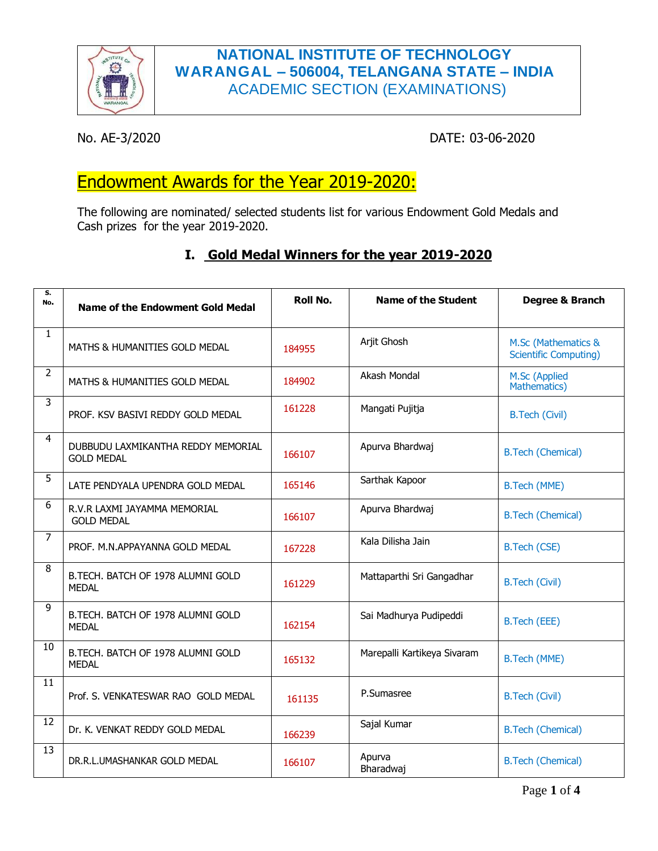

# **NATIONAL INSTITUTE OF TECHNOLOGY WARANGAL – 506004, TELANGANA STATE – INDIA** ACADEMIC SECTION (EXAMINATIONS)

### No. AE-3/2020 DATE: 03-06-2020

# Endowment Awards for the Year 2019-2020:

The following are nominated/ selected students list for various Endowment Gold Medals and Cash prizes for the year 2019-2020.

## **I. Gold Medal Winners for the year 2019-2020**

| S.<br>No.      | <b>Name of the Endowment Gold Medal</b>                 | Roll No. | <b>Name of the Student</b>  | Degree & Branch                                     |
|----------------|---------------------------------------------------------|----------|-----------------------------|-----------------------------------------------------|
| $\mathbf{1}$   | MATHS & HUMANITIES GOLD MEDAL                           | 184955   | Arjit Ghosh                 | M.Sc (Mathematics &<br><b>Scientific Computing)</b> |
| $\overline{2}$ | MATHS & HUMANITIES GOLD MEDAL                           | 184902   | Akash Mondal                | M.Sc (Applied<br>Mathematics)                       |
| $\mathbf{3}$   | PROF. KSV BASIVI REDDY GOLD MEDAL                       | 161228   | Mangati Pujitja             | <b>B.Tech (Civil)</b>                               |
| 4              | DUBBUDU LAXMIKANTHA REDDY MEMORIAL<br><b>GOLD MEDAL</b> | 166107   | Apurva Bhardwaj             | <b>B.Tech (Chemical)</b>                            |
| $\overline{5}$ | LATE PENDYALA UPENDRA GOLD MEDAL                        | 165146   | Sarthak Kapoor              | <b>B.Tech (MME)</b>                                 |
| 6              | R.V.R LAXMI JAYAMMA MEMORIAL<br><b>GOLD MEDAL</b>       | 166107   | Apurva Bhardwaj             | <b>B.Tech (Chemical)</b>                            |
| $\overline{7}$ | PROF. M.N.APPAYANNA GOLD MEDAL                          | 167228   | Kala Dilisha Jain           | <b>B.Tech (CSE)</b>                                 |
| 8              | B.TECH. BATCH OF 1978 ALUMNI GOLD<br><b>MEDAL</b>       | 161229   | Mattaparthi Sri Gangadhar   | <b>B.Tech (Civil)</b>                               |
| 9              | B.TECH. BATCH OF 1978 ALUMNI GOLD<br><b>MEDAL</b>       | 162154   | Sai Madhurya Pudipeddi      | <b>B.Tech (EEE)</b>                                 |
| 10             | B.TECH. BATCH OF 1978 ALUMNI GOLD<br><b>MEDAL</b>       | 165132   | Marepalli Kartikeya Sivaram | <b>B.Tech (MME)</b>                                 |
| 11             | Prof. S. VENKATESWAR RAO GOLD MEDAL                     | 161135   | P.Sumasree                  | <b>B.Tech (Civil)</b>                               |
| 12             | Dr. K. VENKAT REDDY GOLD MEDAL                          | 166239   | Sajal Kumar                 | <b>B.Tech (Chemical)</b>                            |
| 13             | DR.R.L.UMASHANKAR GOLD MEDAL                            | 166107   | Apurva<br>Bharadwaj         | <b>B.Tech (Chemical)</b>                            |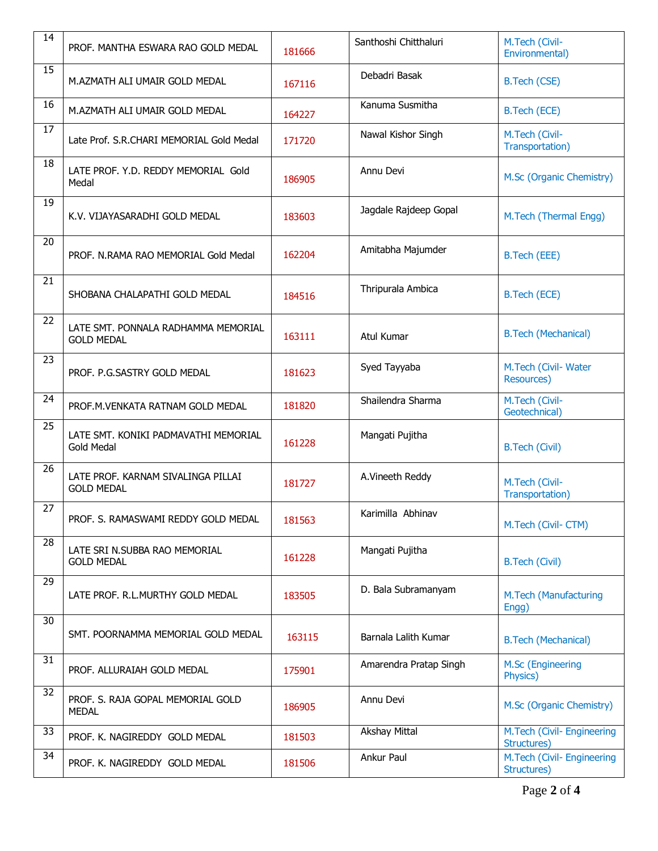| 14 | PROF. MANTHA ESWARA RAO GOLD MEDAL                        | 181666 | Santhoshi Chitthaluri  | M.Tech (Civil-<br>Environmental)          |
|----|-----------------------------------------------------------|--------|------------------------|-------------------------------------------|
| 15 | M.AZMATH ALI UMAIR GOLD MEDAL                             | 167116 | Debadri Basak          | <b>B.Tech (CSE)</b>                       |
| 16 | M.AZMATH ALI UMAIR GOLD MEDAL                             | 164227 | Kanuma Susmitha        | <b>B.Tech (ECE)</b>                       |
| 17 | Late Prof. S.R.CHARI MEMORIAL Gold Medal                  | 171720 | Nawal Kishor Singh     | M.Tech (Civil-<br>Transportation)         |
| 18 | LATE PROF, Y.D. REDDY MEMORIAL Gold<br>Medal              | 186905 | Annu Devi              | M.Sc (Organic Chemistry)                  |
| 19 | K.V. VIJAYASARADHI GOLD MEDAL                             | 183603 | Jagdale Rajdeep Gopal  | M.Tech (Thermal Engg)                     |
| 20 | PROF. N.RAMA RAO MEMORIAL Gold Medal                      | 162204 | Amitabha Majumder      | <b>B.Tech (EEE)</b>                       |
| 21 | SHOBANA CHALAPATHI GOLD MEDAL                             | 184516 | Thripurala Ambica      | <b>B.Tech (ECE)</b>                       |
| 22 | LATE SMT. PONNALA RADHAMMA MEMORIAL<br><b>GOLD MEDAL</b>  | 163111 | Atul Kumar             | <b>B.Tech (Mechanical)</b>                |
| 23 | PROF. P.G.SASTRY GOLD MEDAL                               | 181623 | Syed Tayyaba           | M.Tech (Civil- Water<br>Resources)        |
| 24 | PROF.M. VENKATA RATNAM GOLD MEDAL                         | 181820 | Shailendra Sharma      | M.Tech (Civil-<br>Geotechnical)           |
| 25 | LATE SMT. KONIKI PADMAVATHI MEMORIAL<br><b>Gold Medal</b> | 161228 | Mangati Pujitha        | <b>B.Tech (Civil)</b>                     |
| 26 | LATE PROF. KARNAM SIVALINGA PILLAI<br><b>GOLD MEDAL</b>   | 181727 | A.Vineeth Reddy        | M.Tech (Civil-<br>Transportation)         |
| 27 | PROF. S. RAMASWAMI REDDY GOLD MEDAL                       | 181563 | Karimilla Abhinav      | M.Tech (Civil- CTM)                       |
| 28 | LATE SRI N.SUBBA RAO MEMORIAL<br><b>GOLD MEDAL</b>        | 161228 | Mangati Pujitha        | <b>B.Tech (Civil)</b>                     |
| 29 | LATE PROF. R.L.MURTHY GOLD MEDAL                          | 183505 | D. Bala Subramanyam    | M.Tech (Manufacturing<br>Engg)            |
| 30 | SMT, POORNAMMA MEMORIAL GOLD MEDAL                        | 163115 | Barnala Lalith Kumar   | <b>B.Tech (Mechanical)</b>                |
| 31 | PROF. ALLURAIAH GOLD MEDAL                                | 175901 | Amarendra Pratap Singh | M.Sc (Engineering<br>Physics)             |
| 32 | PROF. S. RAJA GOPAL MEMORIAL GOLD<br><b>MEDAL</b>         | 186905 | Annu Devi              | M.Sc (Organic Chemistry)                  |
| 33 | PROF. K. NAGIREDDY GOLD MEDAL                             | 181503 | Akshay Mittal          | M.Tech (Civil- Engineering<br>Structures) |
| 34 | PROF. K. NAGIREDDY GOLD MEDAL                             | 181506 | Ankur Paul             | M.Tech (Civil- Engineering<br>Structures) |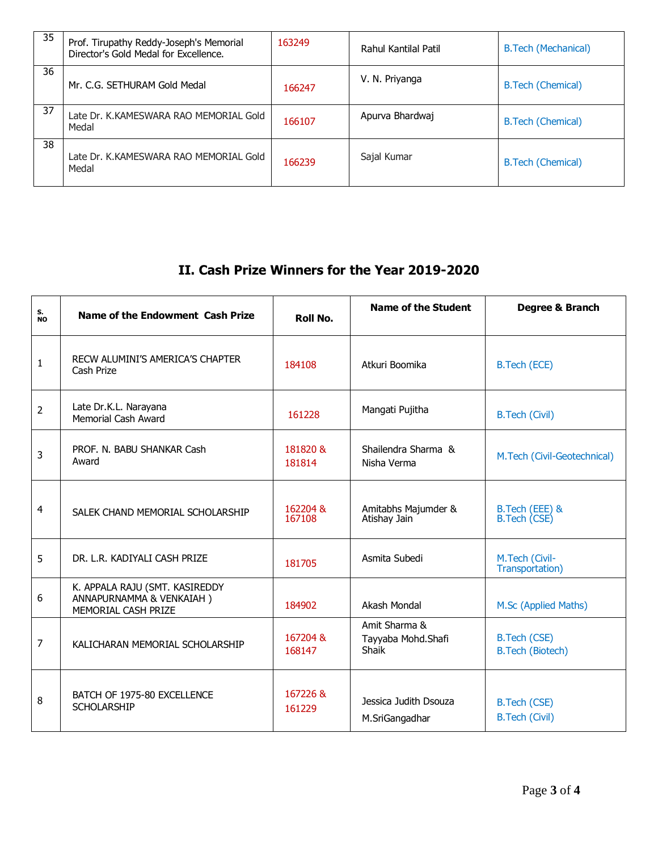| 35 | Prof. Tirupathy Reddy-Joseph's Memorial<br>Director's Gold Medal for Excellence. | 163249 | Rahul Kantilal Patil | <b>B.Tech (Mechanical)</b> |
|----|----------------------------------------------------------------------------------|--------|----------------------|----------------------------|
| 36 | Mr. C.G. SETHURAM Gold Medal                                                     | 166247 | V. N. Priyanga       | <b>B.Tech (Chemical)</b>   |
| 37 | Late Dr. K.KAMESWARA RAO MEMORIAL Gold<br>Medal                                  | 166107 | Apurva Bhardwaj      | <b>B.Tech (Chemical)</b>   |
| 38 | Late Dr. K.KAMESWARA RAO MEMORIAL Gold<br>Medal                                  | 166239 | Sajal Kumar          | <b>B.Tech (Chemical)</b>   |

# **II. Cash Prize Winners for the Year 2019-2020**

| S.<br><b>NO</b> | Name of the Endowment Cash Prize                                                  | Roll No.           | <b>Name of the Student</b>                          | Degree & Branch                                |
|-----------------|-----------------------------------------------------------------------------------|--------------------|-----------------------------------------------------|------------------------------------------------|
| 1               | RECW ALUMINI'S AMERICA'S CHAPTER<br>Cash Prize                                    | 184108             | Atkuri Boomika                                      | <b>B.Tech (ECE)</b>                            |
| $\overline{2}$  | Late Dr.K.L. Narayana<br>Memorial Cash Award                                      | 161228             | Mangati Pujitha                                     | <b>B.Tech (Civil)</b>                          |
| 3               | PROF. N. BABU SHANKAR Cash<br>Award                                               | 181820 &<br>181814 | Shailendra Sharma &<br>Nisha Verma                  | M.Tech (Civil-Geotechnical)                    |
| 4               | SALEK CHAND MEMORIAL SCHOLARSHIP                                                  | 162204 &<br>167108 | Amitabhs Majumder &<br>Atishay Jain                 | B.Tech (EEE) &<br>B.Tech (CSE)                 |
| 5               | DR. L.R. KADIYALI CASH PRIZE                                                      | 181705             | Asmita Subedi                                       | M.Tech (Civil-<br>Transportation)              |
| 6               | K. APPALA RAJU (SMT. KASIREDDY<br>ANNAPURNAMMA & VENKAIAH)<br>MEMORIAL CASH PRIZE | 184902             | Akash Mondal                                        | M.Sc (Applied Maths)                           |
| 7               | KALICHARAN MEMORIAL SCHOLARSHIP                                                   | 167204 &<br>168147 | Amit Sharma &<br>Tayyaba Mohd.Shafi<br><b>Shaik</b> | <b>B.Tech (CSE)</b><br><b>B.Tech (Biotech)</b> |
| 8               | BATCH OF 1975-80 EXCELLENCE<br><b>SCHOLARSHIP</b>                                 | 167226&<br>161229  | Jessica Judith Dsouza<br>M.SriGangadhar             | <b>B.Tech (CSE)</b><br><b>B.Tech (Civil)</b>   |